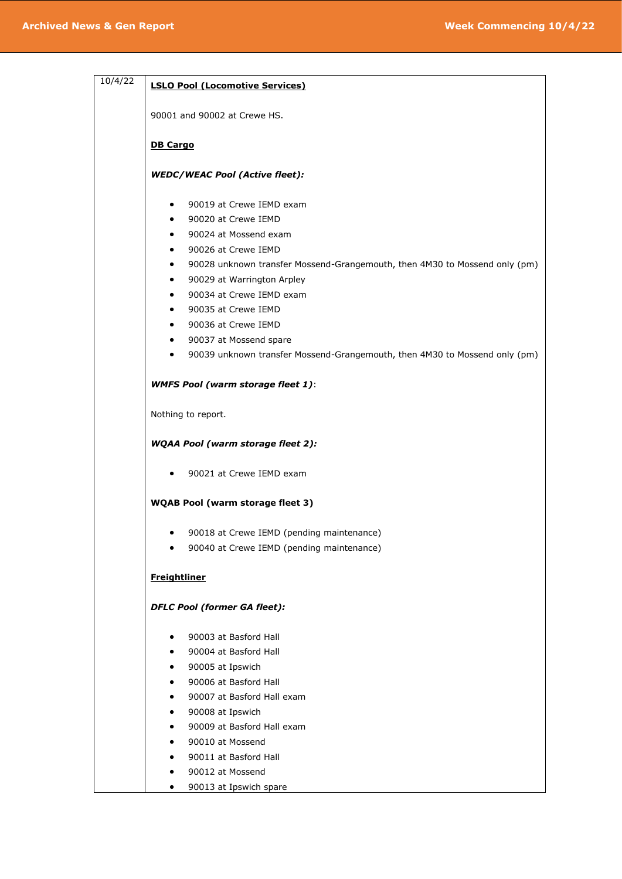| 10/4/22 | <b>LSLO Pool (Locomotive Services)</b>                                                  |
|---------|-----------------------------------------------------------------------------------------|
|         | 90001 and 90002 at Crewe HS.                                                            |
|         | <b>DB Cargo</b>                                                                         |
|         | <b>WEDC/WEAC Pool (Active fleet):</b>                                                   |
|         | 90019 at Crewe IEMD exam<br>$\bullet$                                                   |
|         | 90020 at Crewe IEMD<br>٠                                                                |
|         | 90024 at Mossend exam<br>$\bullet$                                                      |
|         | 90026 at Crewe IEMD<br>٠                                                                |
|         | 90028 unknown transfer Mossend-Grangemouth, then 4M30 to Mossend only (pm)              |
|         | 90029 at Warrington Arpley<br>$\bullet$                                                 |
|         | 90034 at Crewe IEMD exam<br>٠                                                           |
|         | 90035 at Crewe IEMD<br>$\bullet$                                                        |
|         | 90036 at Crewe IEMD<br>٠                                                                |
|         | 90037 at Mossend spare<br>$\bullet$                                                     |
|         | 90039 unknown transfer Mossend-Grangemouth, then 4M30 to Mossend only (pm)<br>$\bullet$ |
|         | <b>WMFS Pool (warm storage fleet 1):</b>                                                |
|         | Nothing to report.                                                                      |
|         | <b>WQAA Pool (warm storage fleet 2):</b>                                                |
|         | 90021 at Crewe IEMD exam                                                                |
|         | <b>WQAB Pool (warm storage fleet 3)</b>                                                 |
|         | 90018 at Crewe IEMD (pending maintenance)<br>٠                                          |
|         | 90040 at Crewe IEMD (pending maintenance)                                               |
|         | <b>Freightliner</b>                                                                     |
|         | <b>DFLC Pool (former GA fleet):</b>                                                     |
|         | 90003 at Basford Hall<br>$\bullet$                                                      |
|         | 90004 at Basford Hall<br>٠                                                              |
|         | 90005 at Ipswich<br>٠                                                                   |
|         | 90006 at Basford Hall<br>٠                                                              |
|         | 90007 at Basford Hall exam<br>٠                                                         |
|         | 90008 at Ipswich<br>٠                                                                   |
|         | 90009 at Basford Hall exam<br>٠                                                         |
|         | 90010 at Mossend<br>٠                                                                   |
|         | 90011 at Basford Hall<br>٠                                                              |
|         |                                                                                         |

- 90012 at Mossend
- 90013 at Ipswich spare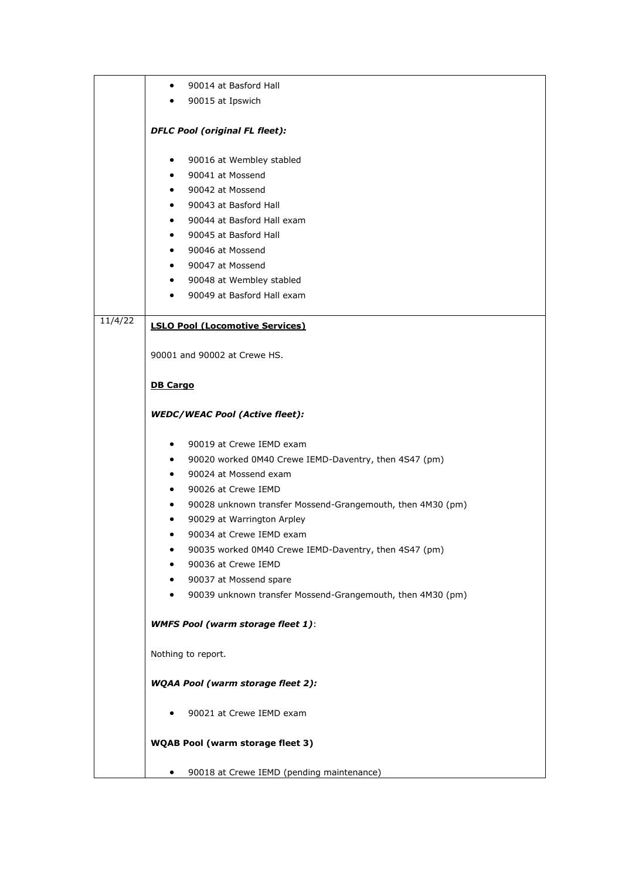|         | 90014 at Basford Hall<br>$\bullet$                                      |
|---------|-------------------------------------------------------------------------|
|         | 90015 at Ipswich                                                        |
|         |                                                                         |
|         | <b>DFLC Pool (original FL fleet):</b>                                   |
|         | 90016 at Wembley stabled<br>$\bullet$                                   |
|         | 90041 at Mossend                                                        |
|         | 90042 at Mossend<br>$\bullet$ .                                         |
|         | 90043 at Basford Hall<br>$\bullet$                                      |
|         | 90044 at Basford Hall exam<br>$\bullet$                                 |
|         | 90045 at Basford Hall<br>$\bullet$                                      |
|         | 90046 at Mossend<br>$\bullet$                                           |
|         | 90047 at Mossend<br>$\bullet$                                           |
|         | 90048 at Wembley stabled<br>$\bullet$                                   |
|         | 90049 at Basford Hall exam<br>$\bullet$                                 |
| 11/4/22 |                                                                         |
|         | <b>LSLO Pool (Locomotive Services)</b>                                  |
|         | 90001 and 90002 at Crewe HS.                                            |
|         |                                                                         |
|         | <b>DB Cargo</b>                                                         |
|         |                                                                         |
|         | <b>WEDC/WEAC Pool (Active fleet):</b>                                   |
|         | 90019 at Crewe IEMD exam<br>٠                                           |
|         | 90020 worked 0M40 Crewe IEMD-Daventry, then 4S47 (pm)<br>$\bullet$      |
|         | 90024 at Mossend exam<br>$\bullet$                                      |
|         | 90026 at Crewe IEMD<br>$\bullet$                                        |
|         | 90028 unknown transfer Mossend-Grangemouth, then 4M30 (pm)<br>$\bullet$ |
|         | 90029 at Warrington Arpley<br>٠                                         |
|         | 90034 at Crewe IEMD exam<br>$\bullet$                                   |
|         | 90035 worked 0M40 Crewe IEMD-Daventry, then 4S47 (pm)                   |
|         | 90036 at Crewe IEMD                                                     |
|         | 90037 at Mossend spare<br>٠                                             |
|         | 90039 unknown transfer Mossend-Grangemouth, then 4M30 (pm)              |
|         | <b>WMFS Pool (warm storage fleet 1):</b>                                |
|         |                                                                         |
|         | Nothing to report.                                                      |
|         | <b>WQAA Pool (warm storage fleet 2):</b>                                |
|         | 90021 at Crewe IEMD exam                                                |
|         | <b>WQAB Pool (warm storage fleet 3)</b>                                 |
|         |                                                                         |
|         | 90018 at Crewe IEMD (pending maintenance)<br>$\bullet$                  |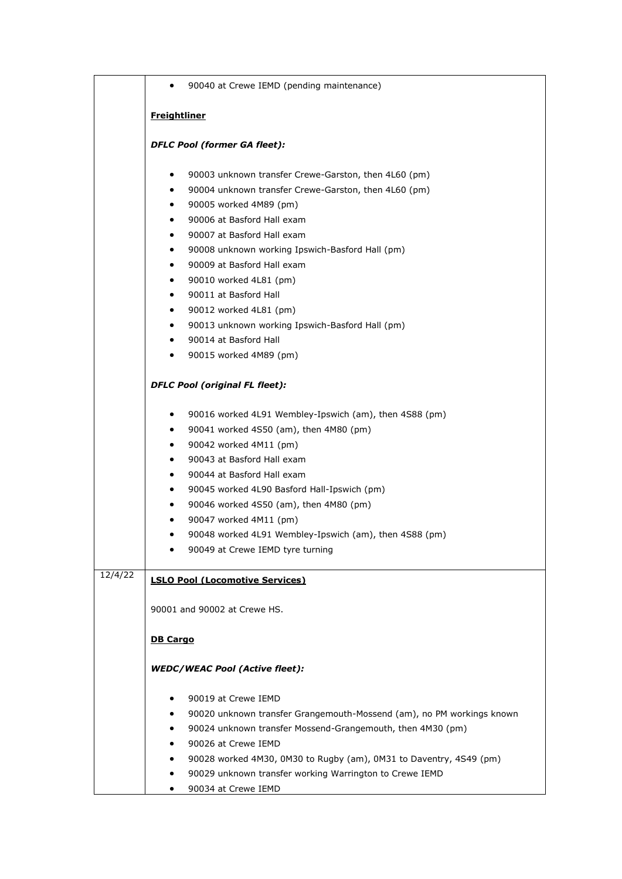|         | 90040 at Crewe IEMD (pending maintenance)<br>$\bullet$                     |  |
|---------|----------------------------------------------------------------------------|--|
|         | <b>Freightliner</b>                                                        |  |
|         |                                                                            |  |
|         | <b>DFLC Pool (former GA fleet):</b>                                        |  |
|         | 90003 unknown transfer Crewe-Garston, then 4L60 (pm)<br>$\bullet$          |  |
|         | 90004 unknown transfer Crewe-Garston, then 4L60 (pm)<br>$\bullet$          |  |
|         | 90005 worked 4M89 (pm)<br>$\bullet$                                        |  |
|         | 90006 at Basford Hall exam<br>$\bullet$                                    |  |
|         | 90007 at Basford Hall exam<br>$\bullet$                                    |  |
|         | 90008 unknown working Ipswich-Basford Hall (pm)<br>$\bullet$               |  |
|         | 90009 at Basford Hall exam<br>$\bullet$                                    |  |
|         | 90010 worked 4L81 (pm)<br>$\bullet$                                        |  |
|         | 90011 at Basford Hall<br>$\bullet$                                         |  |
|         | 90012 worked 4L81 (pm)<br>$\bullet$                                        |  |
|         | 90013 unknown working Ipswich-Basford Hall (pm)<br>$\bullet$               |  |
|         | 90014 at Basford Hall<br>$\bullet$                                         |  |
|         | 90015 worked 4M89 (pm)<br>$\bullet$                                        |  |
|         | <b>DFLC Pool (original FL fleet):</b>                                      |  |
|         | 90016 worked 4L91 Wembley-Ipswich (am), then 4S88 (pm)<br>٠                |  |
|         | 90041 worked 4S50 (am), then 4M80 (pm)<br>$\bullet$                        |  |
|         | 90042 worked 4M11 (pm)<br>$\bullet$                                        |  |
|         | 90043 at Basford Hall exam<br>$\bullet$                                    |  |
|         | 90044 at Basford Hall exam<br>$\bullet$                                    |  |
|         | 90045 worked 4L90 Basford Hall-Ipswich (pm)<br>$\bullet$                   |  |
|         | 90046 worked 4S50 (am), then 4M80 (pm)<br>$\bullet$                        |  |
|         | 90047 worked 4M11 (pm)<br>٠                                                |  |
|         | 90048 worked 4L91 Wembley-Ipswich (am), then 4S88 (pm)<br>٠                |  |
|         | 90049 at Crewe IEMD tyre turning                                           |  |
| 12/4/22 | <b>LSLO Pool (Locomotive Services)</b>                                     |  |
|         |                                                                            |  |
|         | 90001 and 90002 at Crewe HS.                                               |  |
|         | <b>DB Cargo</b>                                                            |  |
|         | <b>WEDC/WEAC Pool (Active fleet):</b>                                      |  |
|         | 90019 at Crewe IEMD<br>٠                                                   |  |
|         | 90020 unknown transfer Grangemouth-Mossend (am), no PM workings known<br>٠ |  |
|         | 90024 unknown transfer Mossend-Grangemouth, then 4M30 (pm)                 |  |
|         | 90026 at Crewe IEMD<br>٠                                                   |  |
|         | 90028 worked 4M30, 0M30 to Rugby (am), 0M31 to Daventry, 4S49 (pm)<br>٠    |  |
|         | 90029 unknown transfer working Warrington to Crewe IEMD<br>٠               |  |
|         | 90034 at Crewe IEMD<br>٠                                                   |  |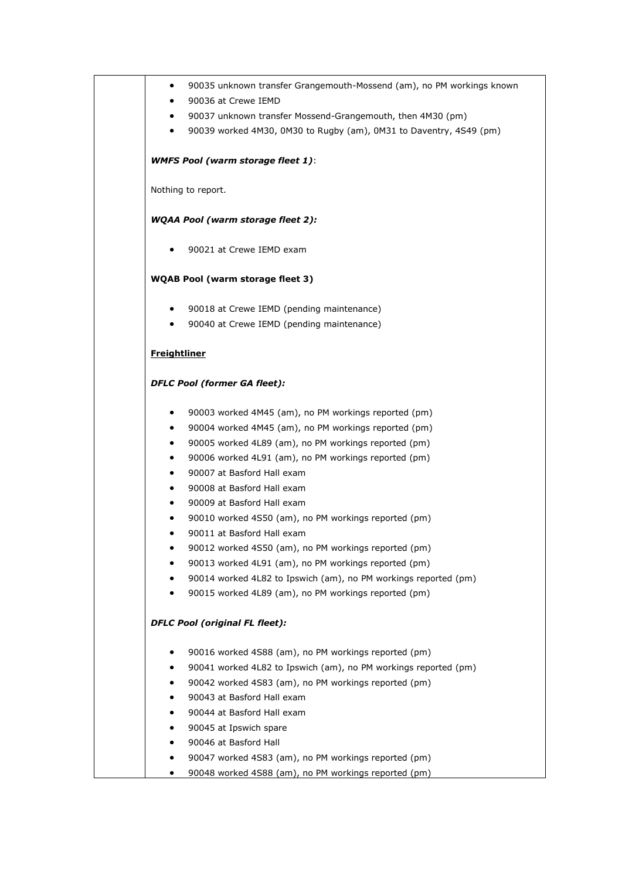| $\bullet$           | 90035 unknown transfer Grangemouth-Mossend (am), no PM workings known                                                   |
|---------------------|-------------------------------------------------------------------------------------------------------------------------|
| $\bullet$           | 90036 at Crewe IEMD                                                                                                     |
| $\bullet$           | 90037 unknown transfer Mossend-Grangemouth, then 4M30 (pm)                                                              |
| $\bullet$           | 90039 worked 4M30, 0M30 to Rugby (am), 0M31 to Daventry, 4S49 (pm)                                                      |
|                     | <b>WMFS Pool (warm storage fleet 1):</b>                                                                                |
|                     | Nothing to report.                                                                                                      |
|                     | <b>WQAA Pool (warm storage fleet 2):</b>                                                                                |
| $\bullet$           | 90021 at Crewe IEMD exam                                                                                                |
|                     | <b>WQAB Pool (warm storage fleet 3)</b>                                                                                 |
| $\bullet$           | 90018 at Crewe IEMD (pending maintenance)                                                                               |
| $\bullet$           | 90040 at Crewe IEMD (pending maintenance)                                                                               |
| <b>Freightliner</b> |                                                                                                                         |
|                     | <b>DFLC Pool (former GA fleet):</b>                                                                                     |
| $\bullet$           | 90003 worked 4M45 (am), no PM workings reported (pm)                                                                    |
| $\bullet$           | 90004 worked 4M45 (am), no PM workings reported (pm)                                                                    |
| $\bullet$           | 90005 worked 4L89 (am), no PM workings reported (pm)                                                                    |
| $\bullet$           | 90006 worked 4L91 (am), no PM workings reported (pm)                                                                    |
| $\bullet$           | 90007 at Basford Hall exam                                                                                              |
| $\bullet$           | 90008 at Basford Hall exam                                                                                              |
| ٠                   | 90009 at Basford Hall exam                                                                                              |
| $\bullet$           | 90010 worked 4S50 (am), no PM workings reported (pm)                                                                    |
| $\bullet$           | 90011 at Basford Hall exam                                                                                              |
|                     | 90012 worked 4S50 (am), no PM workings reported (pm)                                                                    |
|                     | 90013 worked 4L91 (am), no PM workings reported (pm)                                                                    |
| $\bullet$<br>٠      | 90014 worked 4L82 to Ipswich (am), no PM workings reported (pm)<br>90015 worked 4L89 (am), no PM workings reported (pm) |
|                     | <b>DFLC Pool (original FL fleet):</b>                                                                                   |
|                     |                                                                                                                         |
| $\bullet$           | 90016 worked 4S88 (am), no PM workings reported (pm)                                                                    |
| ٠                   | 90041 worked 4L82 to Ipswich (am), no PM workings reported (pm)                                                         |
| ٠                   | 90042 worked 4S83 (am), no PM workings reported (pm)                                                                    |
| ٠                   | 90043 at Basford Hall exam<br>90044 at Basford Hall exam                                                                |
| ٠                   |                                                                                                                         |
| ٠<br>٠              | 90045 at Ipswich spare<br>90046 at Basford Hall                                                                         |
| ٠                   | 90047 worked 4S83 (am), no PM workings reported (pm)                                                                    |
| ٠                   | 90048 worked 4S88 (am), no PM workings reported (pm)                                                                    |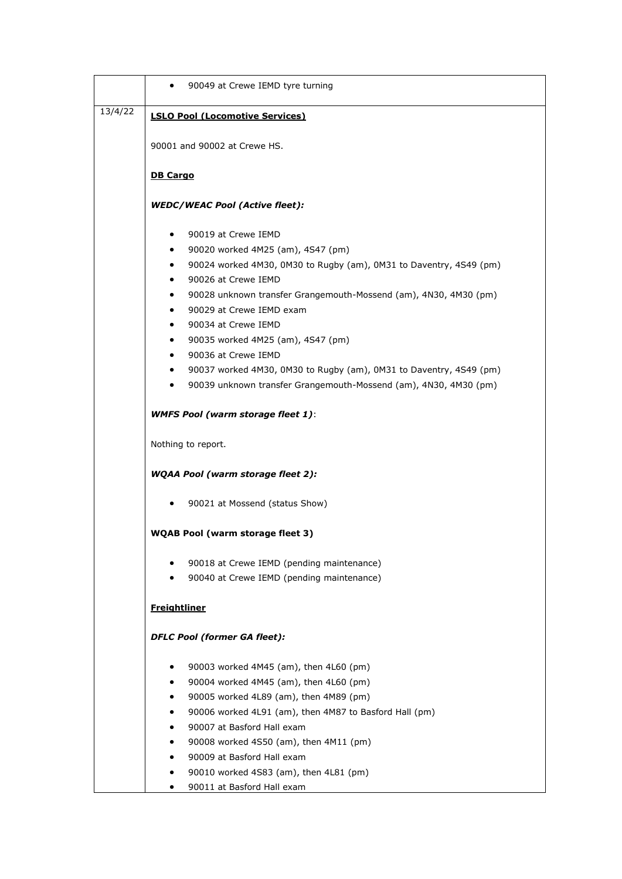|         | 90049 at Crewe IEMD tyre turning                                                                             |
|---------|--------------------------------------------------------------------------------------------------------------|
| 13/4/22 | <b>LSLO Pool (Locomotive Services)</b>                                                                       |
|         | 90001 and 90002 at Crewe HS.                                                                                 |
|         | <b>DB Cargo</b>                                                                                              |
|         | <b>WEDC/WEAC Pool (Active fleet):</b>                                                                        |
|         | 90019 at Crewe IEMD<br>$\bullet$                                                                             |
|         | ٠                                                                                                            |
|         | 90020 worked 4M25 (am), 4S47 (pm)<br>90024 worked 4M30, 0M30 to Rugby (am), 0M31 to Daventry, 4S49 (pm)<br>٠ |
|         | 90026 at Crewe IEMD<br>٠                                                                                     |
|         | 90028 unknown transfer Grangemouth-Mossend (am), 4N30, 4M30 (pm)<br>٠                                        |
|         | 90029 at Crewe IEMD exam<br>$\bullet$                                                                        |
|         | 90034 at Crewe IEMD<br>٠                                                                                     |
|         | 90035 worked 4M25 (am), 4S47 (pm)<br>٠                                                                       |
|         | 90036 at Crewe IEMD<br>٠                                                                                     |
|         | 90037 worked 4M30, 0M30 to Rugby (am), 0M31 to Daventry, 4S49 (pm)                                           |
|         | 90039 unknown transfer Grangemouth-Mossend (am), 4N30, 4M30 (pm)<br>$\bullet$                                |
|         | <b>WMFS Pool (warm storage fleet 1):</b>                                                                     |
|         | Nothing to report.                                                                                           |
|         | <b>WQAA Pool (warm storage fleet 2):</b>                                                                     |
|         | 90021 at Mossend (status Show)                                                                               |
|         | <b>WQAB Pool (warm storage fleet 3)</b>                                                                      |
|         | 90018 at Crewe IEMD (pending maintenance)                                                                    |
|         | 90040 at Crewe IEMD (pending maintenance)                                                                    |
|         | <b>Freightliner</b>                                                                                          |
|         | <b>DFLC Pool (former GA fleet):</b>                                                                          |
|         | 90003 worked 4M45 (am), then 4L60 (pm)<br>$\bullet$                                                          |
|         | 90004 worked 4M45 (am), then 4L60 (pm)<br>٠                                                                  |
|         | 90005 worked 4L89 (am), then 4M89 (pm)<br>٠                                                                  |
|         | 90006 worked 4L91 (am), then 4M87 to Basford Hall (pm)<br>٠                                                  |
|         | 90007 at Basford Hall exam                                                                                   |
|         | 90008 worked 4S50 (am), then 4M11 (pm)<br>٠                                                                  |
|         | 90009 at Basford Hall exam<br>٠                                                                              |
|         | 90010 worked 4S83 (am), then 4L81 (pm)<br>٠                                                                  |
|         | 90011 at Basford Hall exam<br>٠                                                                              |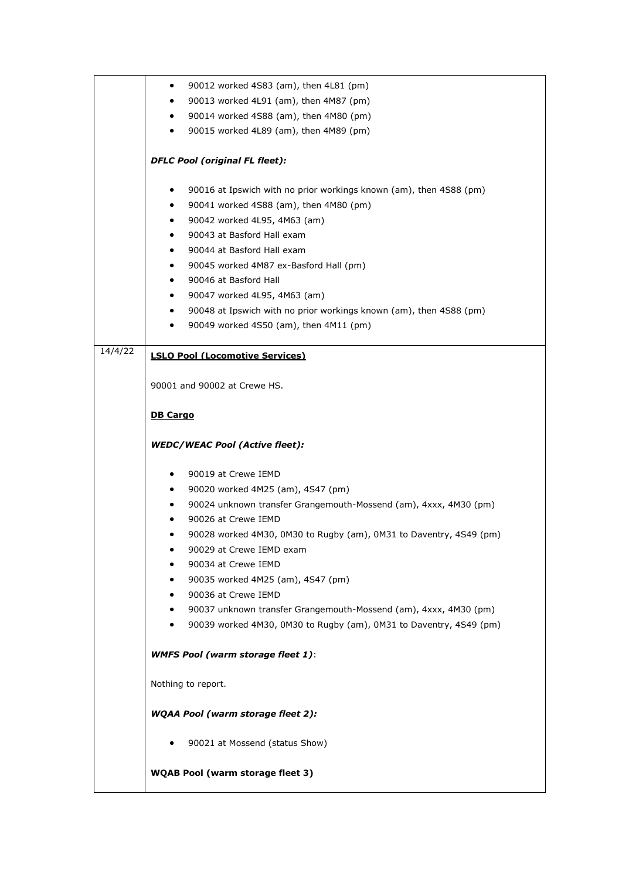|                    | 90012 worked 4S83 (am), then 4L81 (pm)<br>$\bullet$                     |
|--------------------|-------------------------------------------------------------------------|
|                    | 90013 worked 4L91 (am), then 4M87 (pm)<br>$\bullet$                     |
|                    | 90014 worked 4S88 (am), then 4M80 (pm)<br>٠                             |
|                    | 90015 worked 4L89 (am), then 4M89 (pm)<br>٠                             |
|                    |                                                                         |
|                    | <b>DFLC Pool (original FL fleet):</b>                                   |
|                    | 90016 at Ipswich with no prior workings known (am), then 4S88 (pm)<br>٠ |
|                    | 90041 worked 4S88 (am), then 4M80 (pm)<br>$\bullet$                     |
|                    | 90042 worked 4L95, 4M63 (am)<br>٠                                       |
|                    | 90043 at Basford Hall exam<br>٠                                         |
|                    | 90044 at Basford Hall exam<br>$\bullet$                                 |
|                    | 90045 worked 4M87 ex-Basford Hall (pm)<br>٠                             |
|                    | 90046 at Basford Hall<br>$\bullet$                                      |
|                    | 90047 worked 4L95, 4M63 (am)<br>٠                                       |
|                    | 90048 at Ipswich with no prior workings known (am), then 4S88 (pm)<br>٠ |
|                    | 90049 worked 4S50 (am), then 4M11 (pm)<br>$\bullet$                     |
| $\frac{1}{4}/4/22$ | <b>LSLO Pool (Locomotive Services)</b>                                  |
|                    |                                                                         |
|                    | 90001 and 90002 at Crewe HS.                                            |
|                    | <b>DB Cargo</b>                                                         |
|                    | <b>WEDC/WEAC Pool (Active fleet):</b>                                   |
|                    | 90019 at Crewe IEMD<br>$\bullet$                                        |
|                    | 90020 worked 4M25 (am), 4S47 (pm)<br>$\bullet$                          |
|                    | 90024 unknown transfer Grangemouth-Mossend (am), 4xxx, 4M30 (pm)<br>٠   |
|                    | 90026 at Crewe IEMD<br>٠                                                |
|                    | 90028 worked 4M30, 0M30 to Rugby (am), 0M31 to Daventry, 4S49 (pm)<br>٠ |
|                    | 90029 at Crewe IEMD exam                                                |
|                    | 90034 at Crewe IEMD                                                     |
|                    | 90035 worked 4M25 (am), 4S47 (pm)                                       |
|                    | 90036 at Crewe IEMD<br>$\bullet$                                        |
|                    | 90037 unknown transfer Grangemouth-Mossend (am), 4xxx, 4M30 (pm)<br>٠   |
|                    | 90039 worked 4M30, 0M30 to Rugby (am), 0M31 to Daventry, 4S49 (pm)<br>٠ |
|                    | <b>WMFS Pool (warm storage fleet 1):</b>                                |
|                    |                                                                         |
|                    | Nothing to report.                                                      |
|                    | <b>WQAA Pool (warm storage fleet 2):</b>                                |
|                    | 90021 at Mossend (status Show)                                          |
|                    | <b>WQAB Pool (warm storage fleet 3)</b>                                 |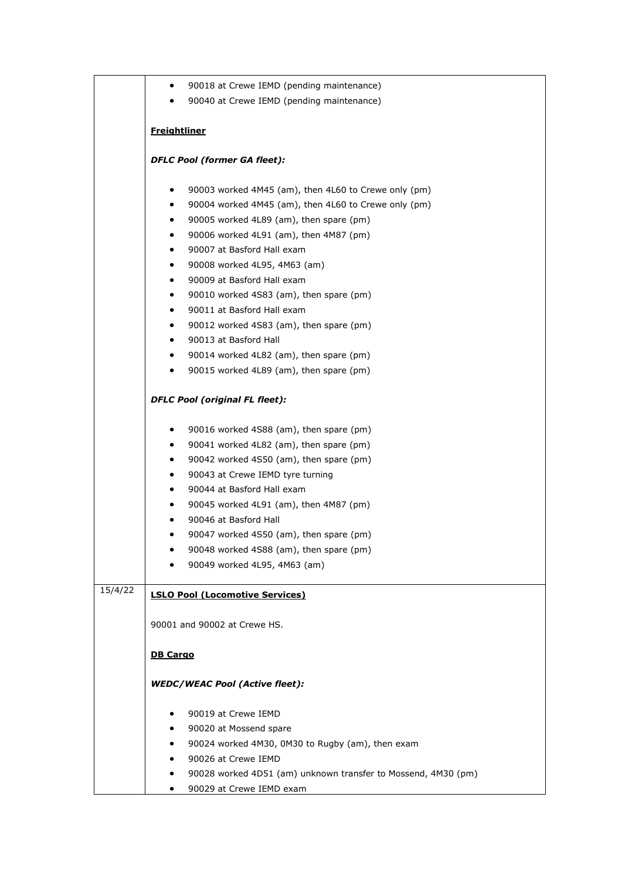|         | 90018 at Crewe IEMD (pending maintenance)<br>$\bullet$                       |
|---------|------------------------------------------------------------------------------|
|         | 90040 at Crewe IEMD (pending maintenance)                                    |
|         |                                                                              |
|         | <b>Freightliner</b>                                                          |
|         | <b>DFLC Pool (former GA fleet):</b>                                          |
|         | 90003 worked 4M45 (am), then 4L60 to Crewe only (pm)<br>٠                    |
|         | 90004 worked 4M45 (am), then 4L60 to Crewe only (pm)<br>$\bullet$            |
|         | 90005 worked 4L89 (am), then spare (pm)<br>٠                                 |
|         | 90006 worked 4L91 (am), then 4M87 (pm)<br>$\bullet$                          |
|         | 90007 at Basford Hall exam<br>$\bullet$                                      |
|         | 90008 worked 4L95, 4M63 (am)<br>٠                                            |
|         | 90009 at Basford Hall exam<br>$\bullet$                                      |
|         | 90010 worked 4S83 (am), then spare (pm)<br>٠                                 |
|         | 90011 at Basford Hall exam<br>$\bullet$                                      |
|         | 90012 worked 4S83 (am), then spare (pm)<br>$\bullet$                         |
|         | 90013 at Basford Hall<br>$\bullet$                                           |
|         | 90014 worked 4L82 (am), then spare (pm)<br>$\bullet$                         |
|         | 90015 worked 4L89 (am), then spare (pm)<br>٠                                 |
|         | <b>DFLC Pool (original FL fleet):</b>                                        |
|         | 90016 worked 4S88 (am), then spare (pm)<br>٠                                 |
|         | 90041 worked 4L82 (am), then spare (pm)<br>$\bullet$                         |
|         | 90042 worked 4S50 (am), then spare (pm)<br>٠                                 |
|         | 90043 at Crewe IEMD tyre turning<br>$\bullet$                                |
|         | 90044 at Basford Hall exam<br>$\bullet$                                      |
|         | 90045 worked 4L91 (am), then 4M87 (pm)<br>٠                                  |
|         | 90046 at Basford Hall<br>٠                                                   |
|         | 90047 worked 4S50 (am), then spare (pm)<br>٠                                 |
|         | 90048 worked 4S88 (am), then spare (pm)                                      |
|         | 90049 worked 4L95, 4M63 (am)                                                 |
| 15/4/22 | <b>LSLO Pool (Locomotive Services)</b>                                       |
|         | 90001 and 90002 at Crewe HS.                                                 |
|         | <b>DB Cargo</b>                                                              |
|         | <b>WEDC/WEAC Pool (Active fleet):</b>                                        |
|         |                                                                              |
|         | 90019 at Crewe IEMD<br>$\bullet$                                             |
|         | 90020 at Mossend spare                                                       |
|         | 90024 worked 4M30, 0M30 to Rugby (am), then exam<br>٠<br>90026 at Crewe IEMD |
|         | ٠<br>90028 worked 4D51 (am) unknown transfer to Mossend, 4M30 (pm)<br>٠      |
|         | 90029 at Crewe IEMD exam<br>٠                                                |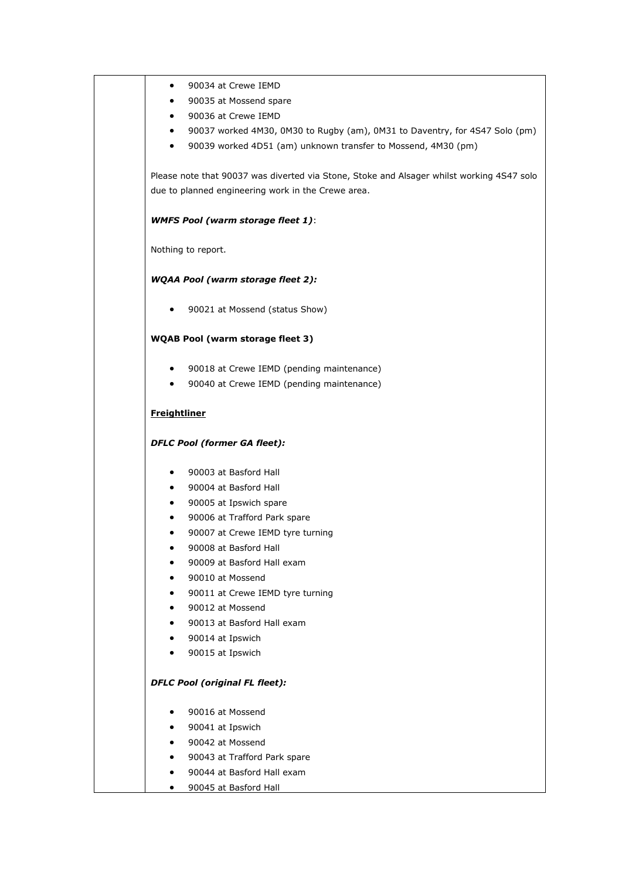| ٠                      | 90034 at Crewe IEMD                                                                       |
|------------------------|-------------------------------------------------------------------------------------------|
|                        | 90035 at Mossend spare                                                                    |
| $\bullet$              | 90036 at Crewe IEMD                                                                       |
| ٠                      | 90037 worked 4M30, 0M30 to Rugby (am), 0M31 to Daventry, for 4S47 Solo (pm)               |
| $\bullet$              | 90039 worked 4D51 (am) unknown transfer to Mossend, 4M30 (pm)                             |
|                        | Please note that 90037 was diverted via Stone, Stoke and Alsager whilst working 4S47 solo |
|                        | due to planned engineering work in the Crewe area.                                        |
|                        | <b>WMFS Pool (warm storage fleet 1):</b>                                                  |
|                        | Nothing to report.                                                                        |
|                        | <b>WQAA Pool (warm storage fleet 2):</b>                                                  |
| ٠                      | 90021 at Mossend (status Show)                                                            |
|                        | <b>WQAB Pool (warm storage fleet 3)</b>                                                   |
| $\bullet$              | 90018 at Crewe IEMD (pending maintenance)                                                 |
| $\bullet$              | 90040 at Crewe IEMD (pending maintenance)                                                 |
| <b>Freightliner</b>    |                                                                                           |
|                        | <b>DFLC Pool (former GA fleet):</b>                                                       |
| $\bullet$              | 90003 at Basford Hall                                                                     |
| $\bullet$              | 90004 at Basford Hall                                                                     |
| ٠                      | 90005 at Ipswich spare                                                                    |
| ٠                      | 90006 at Trafford Park spare                                                              |
| ٠                      | 90007 at Crewe IEMD tyre turning                                                          |
|                        | 90008 at Basford Hall                                                                     |
|                        | 90009 at Basford Hall exam                                                                |
| $\bullet$              | 90010 at Mossend                                                                          |
|                        | 90011 at Crewe IEMD tyre turning                                                          |
| $\bullet$              | 90012 at Mossend                                                                          |
| $\bullet$              | 90013 at Basford Hall exam<br>90014 at Ipswich                                            |
| $\bullet$<br>$\bullet$ | 90015 at Ipswich                                                                          |
|                        |                                                                                           |
|                        |                                                                                           |
|                        | <b>DFLC Pool (original FL fleet):</b>                                                     |
| ٠                      | 90016 at Mossend                                                                          |
| $\bullet$              | 90041 at Ipswich                                                                          |
| $\bullet$              | 90042 at Mossend                                                                          |
| $\bullet$              | 90043 at Trafford Park spare                                                              |
| $\bullet$              | 90044 at Basford Hall exam                                                                |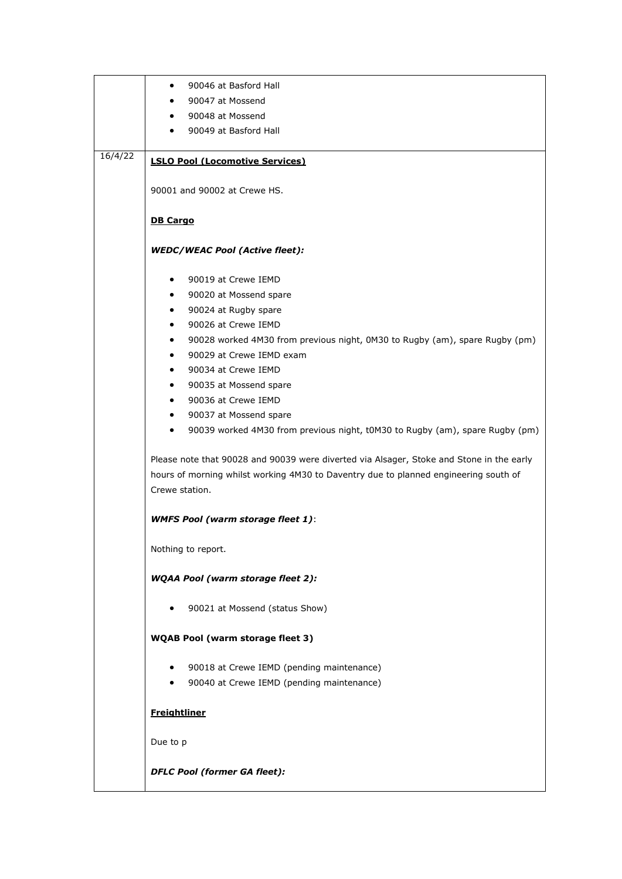|         | 90046 at Basford Hall<br>$\bullet$                                                        |
|---------|-------------------------------------------------------------------------------------------|
|         | 90047 at Mossend                                                                          |
|         | 90048 at Mossend<br>$\bullet$                                                             |
|         | 90049 at Basford Hall<br>$\bullet$                                                        |
| 16/4/22 |                                                                                           |
|         | <b>LSLO Pool (Locomotive Services)</b>                                                    |
|         |                                                                                           |
|         | 90001 and 90002 at Crewe HS.                                                              |
|         |                                                                                           |
|         | <b>DB Cargo</b>                                                                           |
|         | <b>WEDC/WEAC Pool (Active fleet):</b>                                                     |
|         |                                                                                           |
|         | 90019 at Crewe IEMD<br>$\bullet$                                                          |
|         | 90020 at Mossend spare<br>$\bullet$                                                       |
|         | 90024 at Rugby spare<br>$\bullet$<br>90026 at Crewe IEMD<br>$\bullet$                     |
|         | 90028 worked 4M30 from previous night, 0M30 to Rugby (am), spare Rugby (pm)<br>$\bullet$  |
|         | 90029 at Crewe IEMD exam<br>$\bullet$                                                     |
|         | 90034 at Crewe IEMD<br>$\bullet$                                                          |
|         | 90035 at Mossend spare<br>$\bullet$                                                       |
|         | 90036 at Crewe IEMD<br>$\bullet$                                                          |
|         | 90037 at Mossend spare<br>$\bullet$                                                       |
|         | 90039 worked 4M30 from previous night, t0M30 to Rugby (am), spare Rugby (pm)<br>$\bullet$ |
|         |                                                                                           |
|         | Please note that 90028 and 90039 were diverted via Alsager, Stoke and Stone in the early  |
|         | hours of morning whilst working 4M30 to Daventry due to planned engineering south of      |
|         | Crewe station.                                                                            |
|         |                                                                                           |
|         | <b>WMFS Pool (warm storage fleet 1):</b>                                                  |
|         | Nothing to report.                                                                        |
|         |                                                                                           |
|         | <b>WQAA Pool (warm storage fleet 2):</b>                                                  |
|         | 90021 at Mossend (status Show)                                                            |
|         |                                                                                           |
|         | <b>WQAB Pool (warm storage fleet 3)</b>                                                   |
|         | 90018 at Crewe IEMD (pending maintenance)<br>$\bullet$                                    |
|         | 90040 at Crewe IEMD (pending maintenance)                                                 |
|         |                                                                                           |
|         | <b>Freightliner</b>                                                                       |
|         |                                                                                           |
|         | Due to p                                                                                  |
|         |                                                                                           |
|         | <b>DFLC Pool (former GA fleet):</b>                                                       |